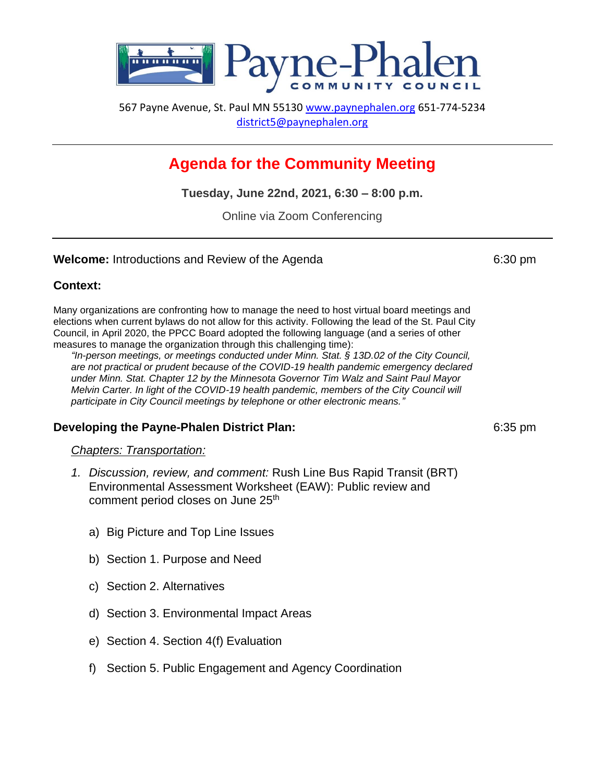

567 Payne Avenue, St. Paul MN 55130 [www.paynephalen.org](http://www.paynephalen.org/) 651-774-5234 [district5@paynephalen.org](mailto:district5@paynephalen.org)

# **Agenda for the Community Meeting**

**Tuesday, June 22nd, 2021, 6:30 – 8:00 p.m.**

Online via Zoom Conferencing

#### **Welcome:** Introductions and Review of the Agenda 6:30 pm

### **Context:**

Many organizations are confronting how to manage the need to host virtual board meetings and elections when current bylaws do not allow for this activity. Following the lead of the St. Paul City Council, in April 2020, the PPCC Board adopted the following language (and a series of other measures to manage the organization through this challenging time):

*"In-person meetings, or meetings conducted under Minn. Stat. § 13D.02 of the City Council, are not practical or prudent because of the COVID-19 health pandemic emergency declared under Minn. Stat. Chapter 12 by the Minnesota Governor Tim Walz and Saint Paul Mayor Melvin Carter. In light of the COVID-19 health pandemic, members of the City Council will participate in City Council meetings by telephone or other electronic means."*

## **Developing the Payne-Phalen District Plan: CENTER 1999 12:35 pm**

### *Chapters: Transportation:*

- *1. Discussion, review, and comment:* Rush Line Bus Rapid Transit (BRT) Environmental Assessment Worksheet (EAW): Public review and comment period closes on June 25<sup>th</sup>
	- a) Big Picture and Top Line Issues
	- b) Section 1. Purpose and Need
	- c) Section 2. Alternatives
	- d) Section 3. Environmental Impact Areas
	- e) Section 4. Section 4(f) Evaluation
	- f) Section 5. Public Engagement and Agency Coordination